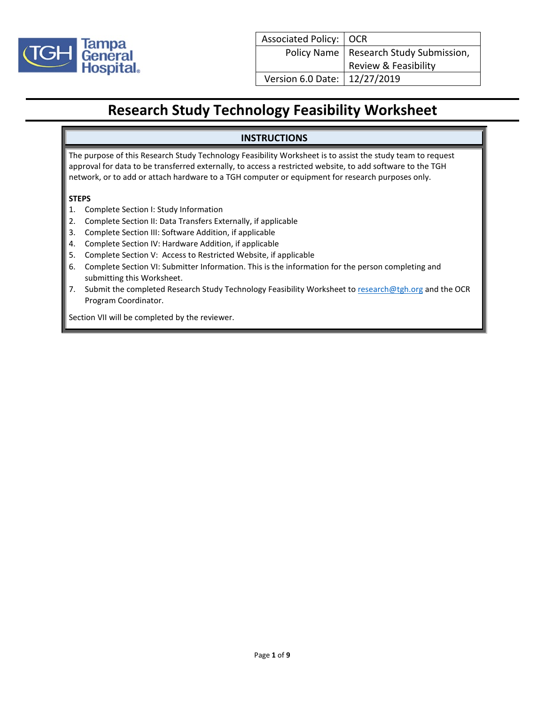

#### **INSTRUCTIONS**

The purpose of this Research Study Technology Feasibility Worksheet is to assist the study team to request approval for data to be transferred externally, to access a restricted website, to add software to the TGH network, or to add or attach hardware to a TGH computer or equipment for research purposes only.

#### **STEPS**

- 1. Complete Section I: Study Information
- 2. Complete Section II: Data Transfers Externally, if applicable
- 3. Complete Section III: Software Addition, if applicable
- 4. Complete Section IV: Hardware Addition, if applicable
- 5. Complete Section V: Access to Restricted Website, if applicable
- 6. Complete Section VI: Submitter Information. This is the information for the person completing and submitting this Worksheet.
- 7. Submit the completed Research Study Technology Feasibility Worksheet to [research@tgh.org](mailto:research@tgh.org) and the OCR Program Coordinator.

Section VII will be completed by the reviewer.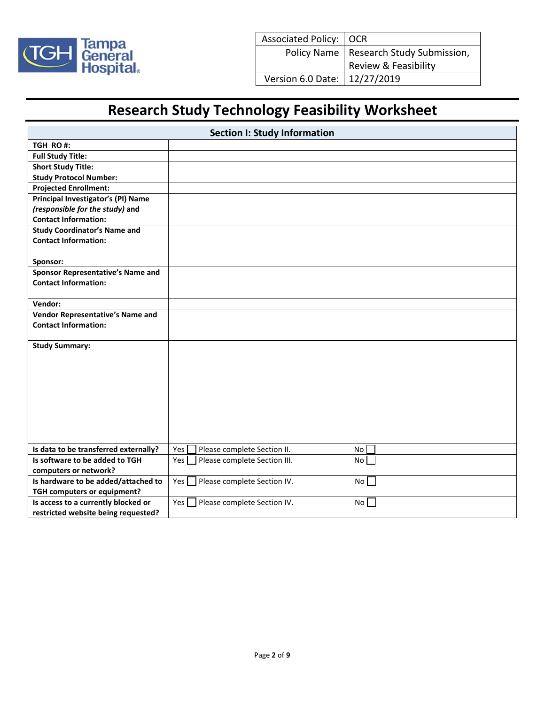

| <b>Section I: Study Information</b>   |                                                       |  |
|---------------------------------------|-------------------------------------------------------|--|
| TGH RO#:                              |                                                       |  |
| <b>Full Study Title:</b>              |                                                       |  |
| <b>Short Study Title:</b>             |                                                       |  |
| <b>Study Protocol Number:</b>         |                                                       |  |
| <b>Projected Enrollment:</b>          |                                                       |  |
| Principal Investigator's (PI) Name    |                                                       |  |
| (responsible for the study) and       |                                                       |  |
| <b>Contact Information:</b>           |                                                       |  |
| <b>Study Coordinator's Name and</b>   |                                                       |  |
| <b>Contact Information:</b>           |                                                       |  |
|                                       |                                                       |  |
| Sponsor:                              |                                                       |  |
| Sponsor Representative's Name and     |                                                       |  |
| <b>Contact Information:</b>           |                                                       |  |
|                                       |                                                       |  |
| Vendor:                               |                                                       |  |
| Vendor Representative's Name and      |                                                       |  |
| <b>Contact Information:</b>           |                                                       |  |
|                                       |                                                       |  |
| <b>Study Summary:</b>                 |                                                       |  |
|                                       |                                                       |  |
|                                       |                                                       |  |
|                                       |                                                       |  |
|                                       |                                                       |  |
|                                       |                                                       |  |
|                                       |                                                       |  |
|                                       |                                                       |  |
|                                       |                                                       |  |
| Is data to be transferred externally? | Yes<br>Please complete Section II.<br>No <sub>1</sub> |  |
| Is software to be added to TGH        | Yes<br>Please complete Section III.<br>No [           |  |
| computers or network?                 |                                                       |  |
| Is hardware to be added/attached to   | No <sub>1</sub><br>Yes<br>Please complete Section IV. |  |
| TGH computers or equipment?           |                                                       |  |
| Is access to a currently blocked or   | Please complete Section IV.<br>No<br>Yes              |  |
| restricted website being requested?   |                                                       |  |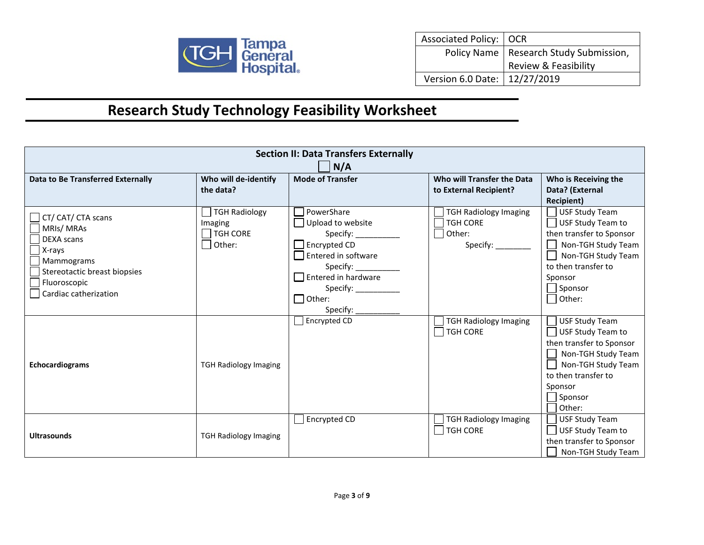

| Associated Policy:   OCR       |                                                                  |
|--------------------------------|------------------------------------------------------------------|
|                                | Policy Name   Research Study Submission,<br>Review & Feasibility |
|                                |                                                                  |
| Version 6.0 Date:   12/27/2019 |                                                                  |

| <b>Section II: Data Transfers Externally</b>                                                                                                          |                                                                                          |                                                                                                                                                                                                |                                                                               |                                                                                                                                                                                                |
|-------------------------------------------------------------------------------------------------------------------------------------------------------|------------------------------------------------------------------------------------------|------------------------------------------------------------------------------------------------------------------------------------------------------------------------------------------------|-------------------------------------------------------------------------------|------------------------------------------------------------------------------------------------------------------------------------------------------------------------------------------------|
|                                                                                                                                                       | N/A                                                                                      |                                                                                                                                                                                                |                                                                               |                                                                                                                                                                                                |
| <b>Data to Be Transferred Externally</b>                                                                                                              | Who will de-identify                                                                     | <b>Mode of Transfer</b>                                                                                                                                                                        | Who will Transfer the Data                                                    | Who is Receiving the                                                                                                                                                                           |
|                                                                                                                                                       | the data?                                                                                |                                                                                                                                                                                                | to External Recipient?                                                        | Data? (External                                                                                                                                                                                |
| CT/ CAT/ CTA scans<br>MRIs/MRAs<br><b>DEXA</b> scans<br>X-rays<br>Mammograms<br>Stereotactic breast biopsies<br>Fluoroscopic<br>Cardiac catherization | <b>TGH Radiology</b><br>Imaging<br>$\overline{\phantom{a}}$ TGH CORE<br>$\bigcap$ Other: | PowerShare<br>$\Box$ Upload to website<br>$\Box$ Encrypted CD<br>$\Box$ Entered in software<br>Specify: $\_\_$<br>$\Box$ Entered in hardware<br>Specify: Specify:<br>$\Box$ Other:<br>Specify: | <b>TGH Radiology Imaging</b><br>TGH CORE<br>$\Box$ Other:<br>Specify: _______ | <b>Recipient)</b><br><b>USF Study Team</b><br>USF Study Team to<br>then transfer to Sponsor<br>Non-TGH Study Team<br>Non-TGH Study Team<br>to then transfer to<br>Sponsor<br>Sponsor<br>Other: |
| Echocardiograms                                                                                                                                       | <b>TGH Radiology Imaging</b>                                                             | $\Box$ Encrypted CD                                                                                                                                                                            | <b>TGH Radiology Imaging</b><br><b>TGH CORE</b>                               | <b>USF Study Team</b><br>USF Study Team to<br>then transfer to Sponsor<br>Non-TGH Study Team<br>Non-TGH Study Team<br>to then transfer to<br>Sponsor<br>Sponsor<br>Other:                      |
| <b>Ultrasounds</b>                                                                                                                                    | <b>TGH Radiology Imaging</b>                                                             | Encrypted CD                                                                                                                                                                                   | <b>TGH Radiology Imaging</b><br>$\Box$ TGH CORE                               | <b>USF Study Team</b><br>USF Study Team to<br>then transfer to Sponsor<br>Non-TGH Study Team                                                                                                   |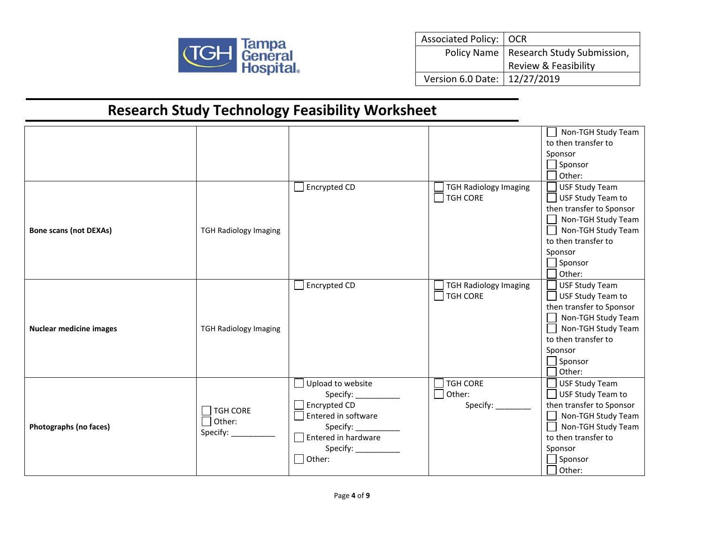

| Associated Policy:   OCR       |                                          |
|--------------------------------|------------------------------------------|
|                                | Policy Name   Research Study Submission, |
|                                | Review & Feasibility                     |
| Version 6.0 Date:   12/27/2019 |                                          |

|                                |                                                           |                                                                                                                                                                                                                                                                                                                                                                                                                                                                                                                                                                      |                                                       | Non-TGH Study Team<br>to then transfer to<br>Sponsor<br>$\Box$ Sponsor<br>$\Box$ Other:                                                                                                       |
|--------------------------------|-----------------------------------------------------------|----------------------------------------------------------------------------------------------------------------------------------------------------------------------------------------------------------------------------------------------------------------------------------------------------------------------------------------------------------------------------------------------------------------------------------------------------------------------------------------------------------------------------------------------------------------------|-------------------------------------------------------|-----------------------------------------------------------------------------------------------------------------------------------------------------------------------------------------------|
| <b>Bone scans (not DEXAs)</b>  | <b>TGH Radiology Imaging</b>                              | Encrypted CD                                                                                                                                                                                                                                                                                                                                                                                                                                                                                                                                                         | <b>TGH Radiology Imaging</b><br>$\Box$ TGH CORE       | USF Study Team<br>USF Study Team to<br>then transfer to Sponsor<br>Non-TGH Study Team<br>$\Box$<br>Non-TGH Study Team<br>to then transfer to<br>Sponsor<br>$\Box$ Sponsor<br>$\bigcap$ Other: |
| <b>Nuclear medicine images</b> | <b>TGH Radiology Imaging</b>                              | Encrypted CD                                                                                                                                                                                                                                                                                                                                                                                                                                                                                                                                                         | <b>TGH Radiology Imaging</b><br>$\Box$ TGH CORE       | USF Study Team<br>$\Box$ USF Study Team to<br>then transfer to Sponsor<br>□ Non-TGH Study Team<br>Non-TGH Study Team<br>to then transfer to<br>Sponsor<br>$\Box$ Sponsor<br>$\Box$ Other:     |
| Photographs (no faces)         | $\sqsupset$ TGH CORE<br>$\Box$ Other:<br>Specify: _______ | Upload to website<br>$\Box$ Encrypted CD<br>Entered in software<br>Specify: $\frac{1}{\sqrt{1-\frac{1}{2}}\cdot\sqrt{1-\frac{1}{2}}\cdot\sqrt{1-\frac{1}{2}}\cdot\sqrt{1-\frac{1}{2}}\cdot\sqrt{1-\frac{1}{2}}\cdot\sqrt{1-\frac{1}{2}}\cdot\sqrt{1-\frac{1}{2}}\cdot\sqrt{1-\frac{1}{2}}\cdot\sqrt{1-\frac{1}{2}}\cdot\sqrt{1-\frac{1}{2}}\cdot\sqrt{1-\frac{1}{2}}\cdot\sqrt{1-\frac{1}{2}}\cdot\sqrt{1-\frac{1}{2}}\cdot\sqrt{1-\frac{1}{2}}\cdot\sqrt{1-\frac{1}{2}}\cdot\sqrt{1-\frac{1}{2}}$<br>$\Box$ Entered in hardware<br>Specify: $\_\_$<br>$\Box$ Other: | <b>TGH CORE</b><br>$\Box$ Other:<br>Specify: ________ | USF Study Team<br>USF Study Team to<br>then transfer to Sponsor<br>Non-TGH Study Team<br>Non-TGH Study Team<br>to then transfer to<br>Sponsor<br>$\Box$ Sponsor<br>$\Box$ Other:              |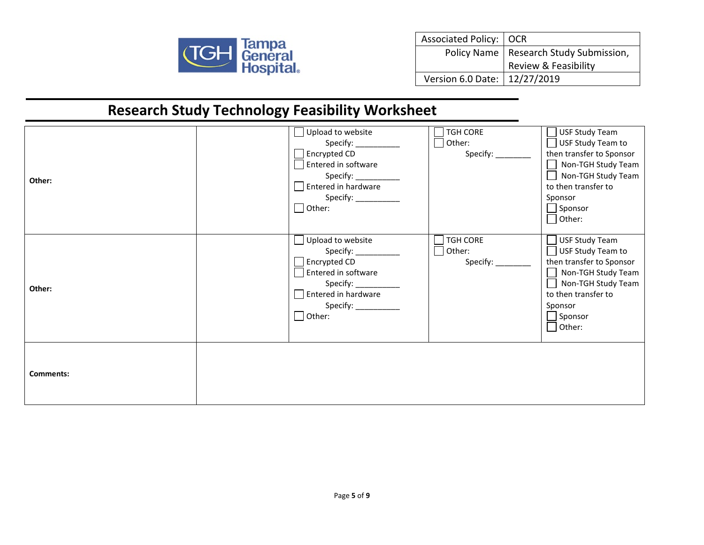

| Associated Policy:   OCR       |                                          |
|--------------------------------|------------------------------------------|
|                                | Policy Name   Research Study Submission, |
|                                | Review & Feasibility                     |
| Version 6.0 Date:   12/27/2019 |                                          |

| Other:           | Upload to website<br>Specify: __________<br>$\Box$ Encrypted CD<br>Entered in software<br>Specify: ___________<br>Sepandin hardware<br>Specify:<br>$\Box$ Other:                                                                                                                                                                                                                                                                                                                                                                                                                     | <b>TGH CORE</b><br>Other:<br>Specify: _________ | USF Study Team<br>$\Box$ USF Study Team to<br>then transfer to Sponsor<br>Non-TGH Study Team<br>Non-TGH Study Team<br>to then transfer to<br>Sponsor<br>$\Box$ Sponsor<br>$\Box$ Other:             |
|------------------|--------------------------------------------------------------------------------------------------------------------------------------------------------------------------------------------------------------------------------------------------------------------------------------------------------------------------------------------------------------------------------------------------------------------------------------------------------------------------------------------------------------------------------------------------------------------------------------|-------------------------------------------------|-----------------------------------------------------------------------------------------------------------------------------------------------------------------------------------------------------|
| Other:           | Upload to website<br>Specify: $\frac{1}{\sqrt{1-\frac{1}{2}}\cdot\sqrt{1-\frac{1}{2}}\cdot\sqrt{1-\frac{1}{2}}\cdot\sqrt{1-\frac{1}{2}}\cdot\sqrt{1-\frac{1}{2}}\cdot\sqrt{1-\frac{1}{2}}\cdot\sqrt{1-\frac{1}{2}}\cdot\sqrt{1-\frac{1}{2}}\cdot\sqrt{1-\frac{1}{2}}\cdot\sqrt{1-\frac{1}{2}}\cdot\sqrt{1-\frac{1}{2}}\cdot\sqrt{1-\frac{1}{2}}\cdot\sqrt{1-\frac{1}{2}}\cdot\sqrt{1-\frac{1}{2}}\cdot\sqrt{1-\frac{1}{2}}\cdot\sqrt{1-\frac{1}{2}}$<br>$\Box$ Encrypted CD<br>Entered in software<br>Specify: __________<br>$\Box$ Entered in hardware<br>Specify:<br>$\Box$ Other: | <b>TGH CORE</b><br>Other:<br>Specify: ________  | <b>USF Study Team</b><br>$\Box$ USF Study Team to<br>then transfer to Sponsor<br>Non-TGH Study Team<br>ᆜ<br>Non-TGH Study Team<br>to then transfer to<br>Sponsor<br>$\Box$ Sponsor<br>$\Box$ Other: |
| <b>Comments:</b> |                                                                                                                                                                                                                                                                                                                                                                                                                                                                                                                                                                                      |                                                 |                                                                                                                                                                                                     |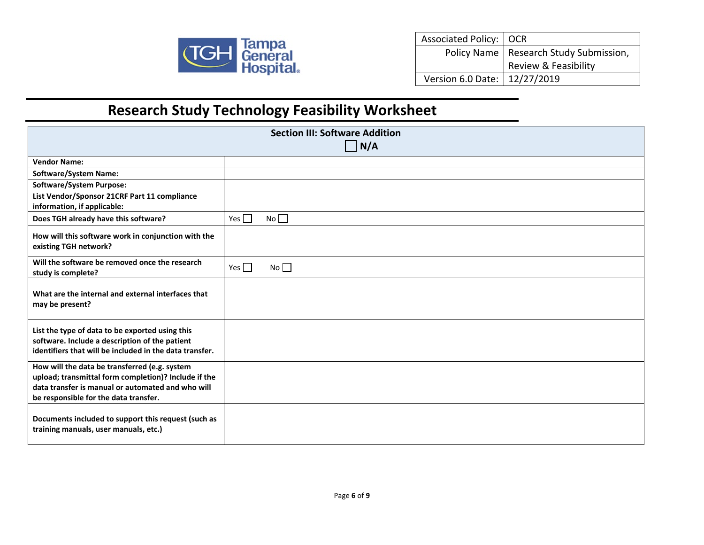

| Associated Policy:   OCR       |                                          |
|--------------------------------|------------------------------------------|
|                                | Policy Name   Research Study Submission, |
|                                | Review & Feasibility                     |
| Version 6.0 Date:   12/27/2019 |                                          |

| <b>Section III: Software Addition</b><br>$\vert N/A$                                                                                                                                                |                         |  |
|-----------------------------------------------------------------------------------------------------------------------------------------------------------------------------------------------------|-------------------------|--|
| <b>Vendor Name:</b>                                                                                                                                                                                 |                         |  |
| <b>Software/System Name:</b>                                                                                                                                                                        |                         |  |
| <b>Software/System Purpose:</b>                                                                                                                                                                     |                         |  |
| List Vendor/Sponsor 21CRF Part 11 compliance<br>information, if applicable:                                                                                                                         |                         |  |
| Does TGH already have this software?                                                                                                                                                                | Yes $\Box$<br>$No \Box$ |  |
| How will this software work in conjunction with the<br>existing TGH network?                                                                                                                        |                         |  |
| Will the software be removed once the research<br>study is complete?                                                                                                                                | Yes $\Box$<br>No        |  |
| What are the internal and external interfaces that<br>may be present?                                                                                                                               |                         |  |
| List the type of data to be exported using this<br>software. Include a description of the patient<br>identifiers that will be included in the data transfer.                                        |                         |  |
| How will the data be transferred (e.g. system<br>upload; transmittal form completion)? Include if the<br>data transfer is manual or automated and who will<br>be responsible for the data transfer. |                         |  |
| Documents included to support this request (such as<br>training manuals, user manuals, etc.)                                                                                                        |                         |  |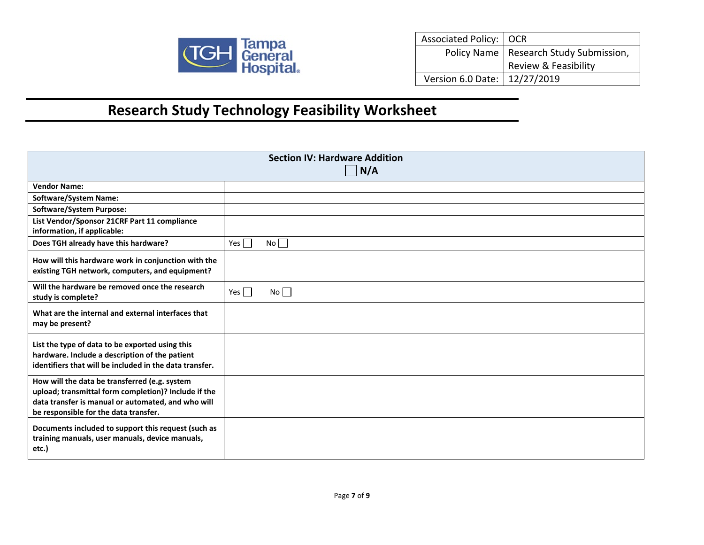

| Associated Policy:   OCR       |                                          |
|--------------------------------|------------------------------------------|
|                                | Policy Name   Research Study Submission, |
|                                | Review & Feasibility                     |
| Version 6.0 Date:   12/27/2019 |                                          |

| <b>Section IV: Hardware Addition</b><br>$\vert N/A$                                                                                                                                                  |                  |  |
|------------------------------------------------------------------------------------------------------------------------------------------------------------------------------------------------------|------------------|--|
| <b>Vendor Name:</b>                                                                                                                                                                                  |                  |  |
| <b>Software/System Name:</b>                                                                                                                                                                         |                  |  |
| <b>Software/System Purpose:</b>                                                                                                                                                                      |                  |  |
| List Vendor/Sponsor 21CRF Part 11 compliance<br>information, if applicable:                                                                                                                          |                  |  |
| Does TGH already have this hardware?                                                                                                                                                                 | Yes<br>No        |  |
| How will this hardware work in conjunction with the<br>existing TGH network, computers, and equipment?                                                                                               |                  |  |
| Will the hardware be removed once the research<br>study is complete?                                                                                                                                 | Yes $\Box$<br>No |  |
| What are the internal and external interfaces that<br>may be present?                                                                                                                                |                  |  |
| List the type of data to be exported using this<br>hardware. Include a description of the patient<br>identifiers that will be included in the data transfer.                                         |                  |  |
| How will the data be transferred (e.g. system<br>upload; transmittal form completion)? Include if the<br>data transfer is manual or automated, and who will<br>be responsible for the data transfer. |                  |  |
| Documents included to support this request (such as<br>training manuals, user manuals, device manuals,<br>etc.)                                                                                      |                  |  |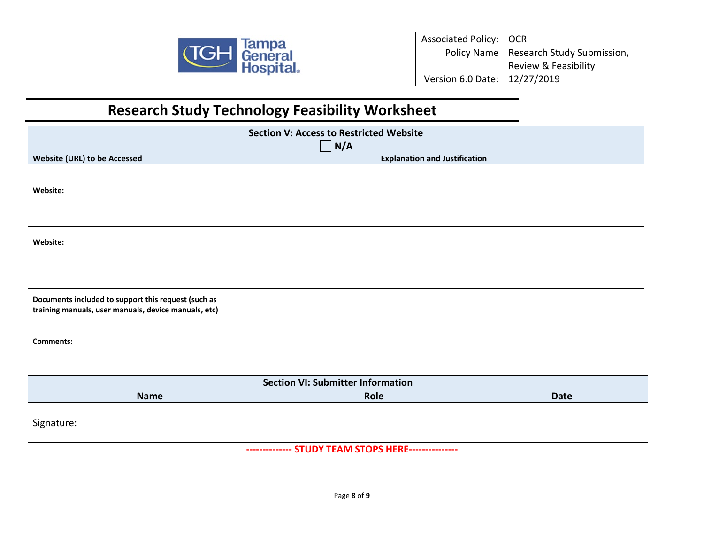

| Associated Policy:   OCR       |                                          |
|--------------------------------|------------------------------------------|
|                                | Policy Name   Research Study Submission, |
|                                | Review & Feasibility                     |
| Version 6.0 Date:   12/27/2019 |                                          |

| <b>Section V: Access to Restricted Website</b>                                                              |                                      |  |  |  |
|-------------------------------------------------------------------------------------------------------------|--------------------------------------|--|--|--|
| N/A                                                                                                         |                                      |  |  |  |
| <b>Website (URL) to be Accessed</b>                                                                         | <b>Explanation and Justification</b> |  |  |  |
| Website:                                                                                                    |                                      |  |  |  |
| Website:                                                                                                    |                                      |  |  |  |
|                                                                                                             |                                      |  |  |  |
| Documents included to support this request (such as<br>training manuals, user manuals, device manuals, etc) |                                      |  |  |  |
| <b>Comments:</b>                                                                                            |                                      |  |  |  |

| <b>Section VI: Submitter Information</b> |      |             |  |
|------------------------------------------|------|-------------|--|
| <b>Name</b>                              | Role | <b>Date</b> |  |
|                                          |      |             |  |
| Signature:                               |      |             |  |

**-------------- STUDY TEAM STOPS HERE---------------**